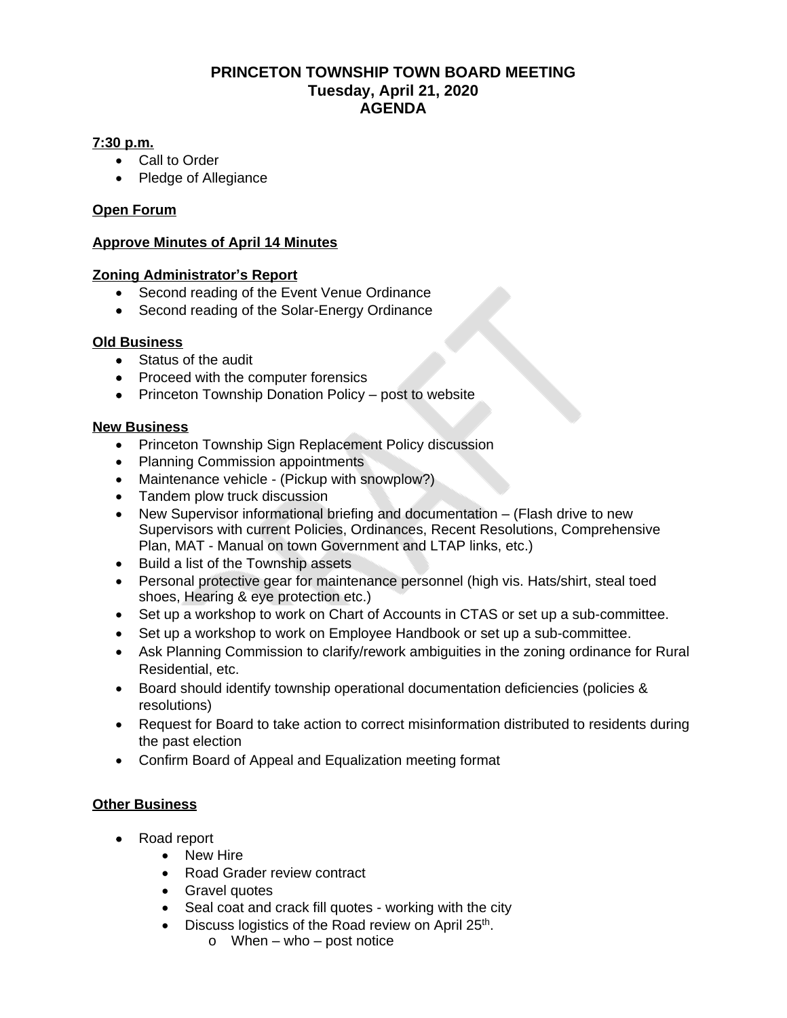### **PRINCETON TOWNSHIP TOWN BOARD MEETING Tuesday, April 21, 2020 AGENDA**

#### **7:30 p.m.**

- Call to Order
- Pledge of Allegiance

#### **Open Forum**

#### **Approve Minutes of April 14 Minutes**

#### **Zoning Administrator's Report**

- Second reading of the Event Venue Ordinance
- Second reading of the Solar-Energy Ordinance

#### **Old Business**

- Status of the audit
- Proceed with the computer forensics
- Princeton Township Donation Policy post to website

#### **New Business**

- Princeton Township Sign Replacement Policy discussion
- Planning Commission appointments
- Maintenance vehicle (Pickup with snowplow?)
- Tandem plow truck discussion
- New Supervisor informational briefing and documentation (Flash drive to new Supervisors with current Policies, Ordinances, Recent Resolutions, Comprehensive Plan, MAT - Manual on town Government and LTAP links, etc.)
- Build a list of the Township assets
- Personal protective gear for maintenance personnel (high vis. Hats/shirt, steal toed shoes, Hearing & eye protection etc.)
- Set up a workshop to work on Chart of Accounts in CTAS or set up a sub-committee.
- Set up a workshop to work on Employee Handbook or set up a sub-committee.
- Ask Planning Commission to clarify/rework ambiguities in the zoning ordinance for Rural Residential, etc.
- Board should identify township operational documentation deficiencies (policies & resolutions)
- Request for Board to take action to correct misinformation distributed to residents during the past election
- Confirm Board of Appeal and Equalization meeting format

#### **Other Business**

- Road report
	- New Hire
	- Road Grader review contract
	- Gravel quotes
	- Seal coat and crack fill quotes working with the city
	- Discuss logistics of the Road review on April 25<sup>th</sup>.
		- $\circ$  When who post notice